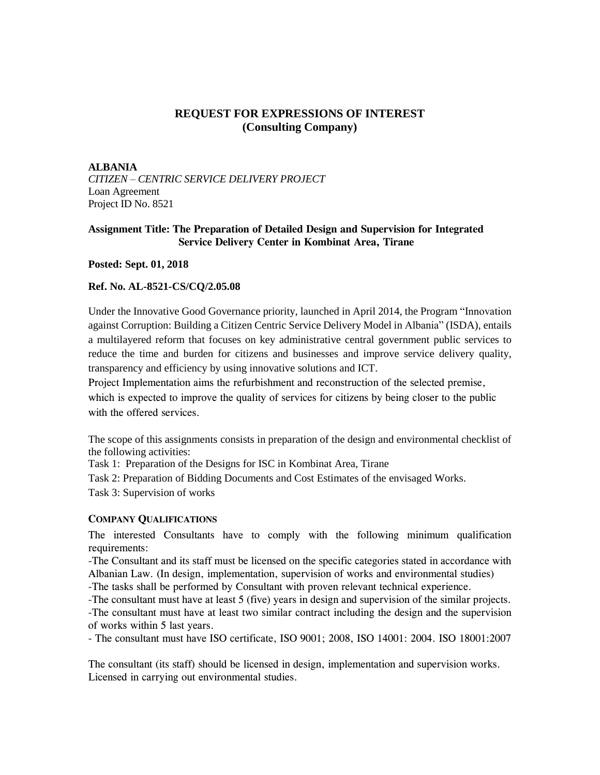# **REQUEST FOR EXPRESSIONS OF INTEREST (Consulting Company)**

### **ALBANIA**

*CITIZEN – CENTRIC SERVICE DELIVERY PROJECT* Loan Agreement Project ID No. 8521

## **Assignment Title: The Preparation of Detailed Design and Supervision for Integrated Service Delivery Center in Kombinat Area, Tirane**

**Posted: Sept. 01, 2018**

### **Ref. No. AL-8521-CS/CQ/2.05.08**

Under the Innovative Good Governance priority, launched in April 2014, the Program "Innovation against Corruption: Building a Citizen Centric Service Delivery Model in Albania" (ISDA), entails a multilayered reform that focuses on key administrative central government public services to reduce the time and burden for citizens and businesses and improve service delivery quality, transparency and efficiency by using innovative solutions and ICT.

Project Implementation aims the refurbishment and reconstruction of the selected premise,

which is expected to improve the quality of services for citizens by being closer to the public with the offered services.

The scope of this assignments consists in preparation of the design and environmental checklist of the following activities:

Task 1: Preparation of the Designs for ISC in Kombinat Area, Tirane

Task 2: Preparation of Bidding Documents and Cost Estimates of the envisaged Works.

Task 3: Supervision of works

## **COMPANY QUALIFICATIONS**

The interested Consultants have to comply with the following minimum qualification requirements:

-The Consultant and its staff must be licensed on the specific categories stated in accordance with Albanian Law. (In design, implementation, supervision of works and environmental studies)

-The tasks shall be performed by Consultant with proven relevant technical experience.

-The consultant must have at least 5 (five) years in design and supervision of the similar projects. -The consultant must have at least two similar contract including the design and the supervision of works within 5 last years.

- The consultant must have ISO certificate, ISO 9001; 2008, ISO 14001: 2004. ISO 18001:2007

The consultant (its staff) should be licensed in design, implementation and supervision works. Licensed in carrying out environmental studies.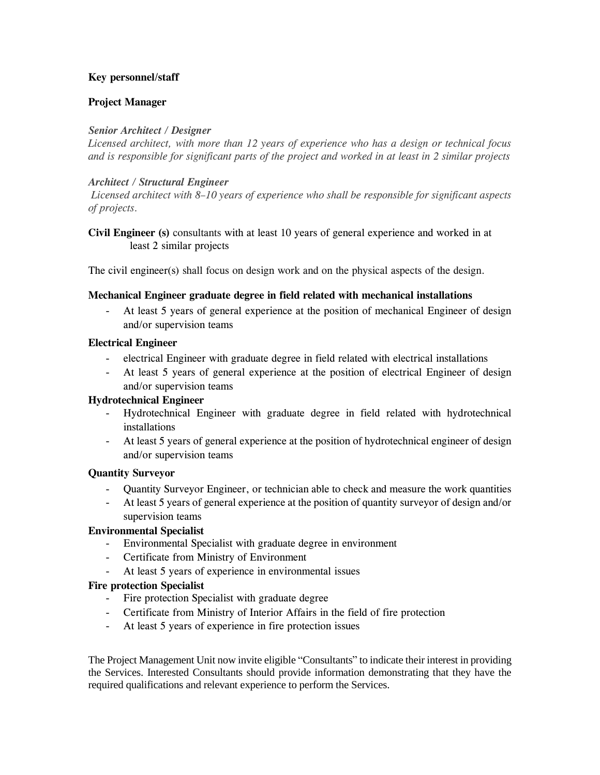## **Key personnel/staff**

## **Project Manager**

## *Senior Architect / Designer*

*Licensed architect, with more than 12 years of experience who has a design or technical focus and is responsible for significant parts of the project and worked in at least in 2 similar projects*

## *Architect / Structural Engineer*

*Licensed architect with 8–10 years of experience who shall be responsible for significant aspects of projects.*

## **Civil Engineer (s)** consultants with at least 10 years of general experience and worked in at least 2 similar projects

The civil engineer(s) shall focus on design work and on the physical aspects of the design.

### **Mechanical Engineer graduate degree in field related with mechanical installations**

At least 5 years of general experience at the position of mechanical Engineer of design and/or supervision teams

### **Electrical Engineer**

- electrical Engineer with graduate degree in field related with electrical installations
- At least 5 years of general experience at the position of electrical Engineer of design and/or supervision teams

## **Hydrotechnical Engineer**

- Hydrotechnical Engineer with graduate degree in field related with hydrotechnical installations
- At least 5 years of general experience at the position of hydrotechnical engineer of design and/or supervision teams

#### **Quantity Surveyor**

- Quantity Surveyor Engineer, or technician able to check and measure the work quantities
- At least 5 years of general experience at the position of quantity surveyor of design and/or supervision teams

## **Environmental Specialist**

- Environmental Specialist with graduate degree in environment
- Certificate from Ministry of Environment
- At least 5 years of experience in environmental issues

#### **Fire protection Specialist**

- Fire protection Specialist with graduate degree
- Certificate from Ministry of Interior Affairs in the field of fire protection
- At least 5 years of experience in fire protection issues

The Project Management Unit now invite eligible "Consultants" to indicate their interest in providing the Services. Interested Consultants should provide information demonstrating that they have the required qualifications and relevant experience to perform the Services.